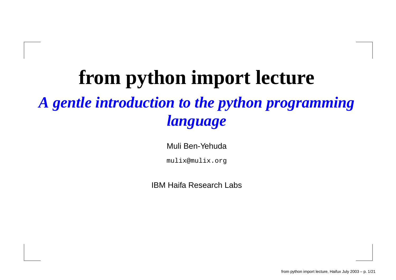## **from python import lecture** *A gentle introduction to the python programming language*

Muli Ben-Yehuda

mulix@mulix.org

IBM Haifa Research Labs

from python import lecture, Haifux July 2003 – p. 1/21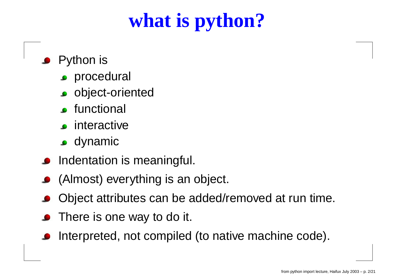# **what is python?**

- Python is
	- **Procedural**
	- **o** object-oriented
	- **c** functional
	- **c** interactive
	- dynamic
- Indentation is meaningful.
- (Almost) everything is an object.
- Object attributes can be added/removed at run time.
- There is one way to do it.
- Interpreted, not compiled (to native machine code).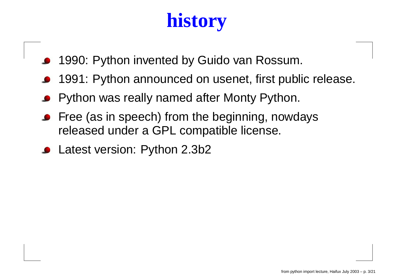# **history**

- 1990: Python invented by Guido van Rossum.
- 1991: Python announced on usenet, first public release.
- Python was really named after Monty Python.
- Free (as in speech) from the beginning, nowdays released under <sup>a</sup> GPL compatible license.
- Latest version: Python 2.3b2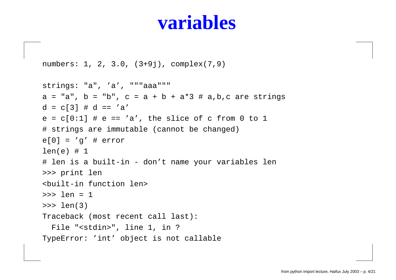#### **variables**

```
numbers: 1, 2, 3.0, (3+9j), complex(7,9)
```

```
strings: "a", 'a', """aaa"""
a = "a", b = "b", c = a + b + a*3 # a,b,c are strings
d = c[3] # d == 'a'
e = c[0:1] # e == 'a', the slice of c from 0 to 1
# strings are immutable (cannot be changed)
e[0] = 'q' # error
len(e) # 1
# len is a built-in - don't name your variables len
>>> print len
<built-in function len>
>>> len = 1
>>> len(3)
Traceback (most recent call last):
  File "<stdin>", line 1, in ?
TypeError: 'int' object is not callable
```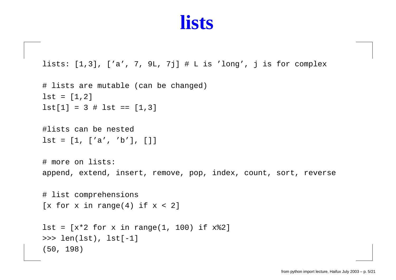#### **lists**

```
lists: [1,3], ['a', 7, 9L, 7j] # L is 'long', j is for complex
```

```
# lists are mutable (can be changed)
lst = [1,2]
lst[1] = 3 # 1st == [1,3]
```

```
#lists can be nested
lst = [1, ['a', 'b'], []]
```
# more on lists: append, extend, insert, remove, pop, index, count, sort, reverse

```
# list comprehensions
[x for x in range(4) if x < 2]
```

```
lst = [x*2 for x in range(1, 100) if x%2]
>>> len(lst), lst[-1]
(50, 198)
```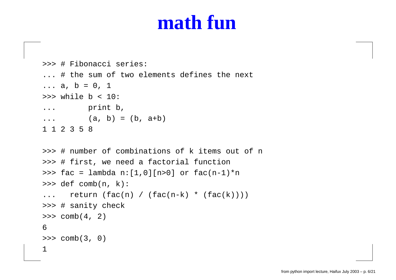#### **math fun**

```
>>> # Fibonacci series:
... # the sum of two elements defines the next
... a, b = 0, 1
>>> while b < 10:
... print b,
...(a, b) = (b, a+b)1 1 2 3 5 8
>>> # number of combinations of k items out of n
>>> # first, we need a factorial function
>>> fac = lambda n:[1,0][n>0] or fac(n-1)*n
>>> def comb(n, k):
...return (fac(n) / (fac(n-k) * (fac(k))))>>> # sanity check
>>> comb(4, 2)
6>>> comb(3, 0)
1
```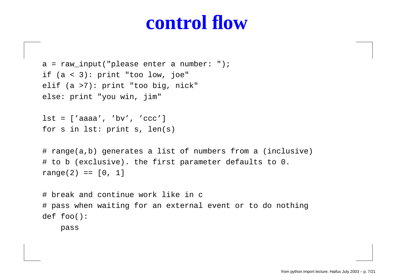#### **control flow**

```
a = raw_input("please enter a number: ");
if (a < 3): print "too low, joe"
elif (a >7): print "too big, nick"
else: print "you win, jim"
```

```
lst = ['aaaa', 'bv', 'ccc']
for s in lst: print s, len(s)
```

```
# range(a,b) generates a list of numbers from a (inclusive)
# to b (exclusive). the first parameter defaults to 0.
range(2) == [0, 1]
```

```
# break and continue work like in c
# pass when waiting for an external event or to do nothing
def foo():
```
pass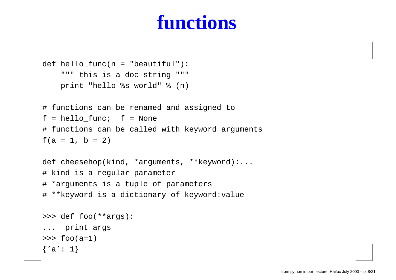### **functions**

```
def hello_func(n = "beautiful"):
    """ this is a doc string """
    print "hello %s world" % (n)
# functions can be renamed and assigned to
f = hello_func; f = None
# functions can be called with keyword arguments
f(a = 1, b = 2)def cheesehop(kind, *arguments, **keyword):...
# kind is a regular parameter
# *arguments is a tuple of parameters
# **keyword is a dictionary of keyword:value
>>> def foo(**args):
... print args
>>> foo(a=1)
\{a': 1\}
```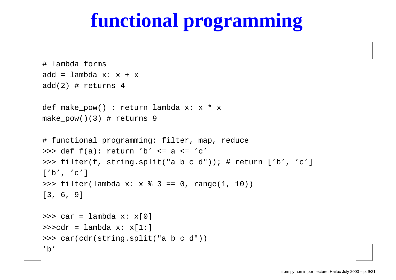## **functional programming**

```
# lambda forms
add = lambda x: x + x
add(2) \# returns 4
def make_pow() : return lambda x: x * x
make pow()(3) # returns 9
# functional programming: filter, map, reduce
>>> def f(a): return 'b' <= a <= 'c'
>>> filter(f, string.split("a b c d")); # return ['b', 'c']
['b', 'c']
>>> filter(lambda x: x % 3 == 0, range(1, 10))
[3, 6, 9]
>>> car = lambda x: x[0]
>>>cdr = lambda x: x[1:]
>>> car(cdr(string.split("a b c d"))
'b'
```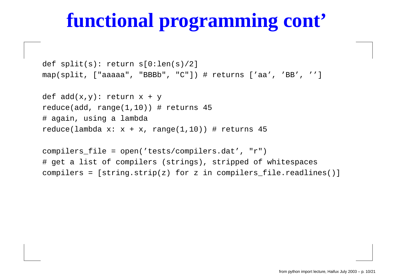# **functional programming cont'**

def split(s): return s[0:len(s)/2] map(split, ["aaaaa", "BBBb", "C"]) # returns ['aa', 'BB', '']

def add(x,y): return <sup>x</sup> <sup>+</sup> y reduce(add, range(1,10)) # returns 45 # again, using <sup>a</sup> lambda reduce(lambda  $x: x + x$ , range(1,10)) # returns 45

compilers\_file <sup>=</sup> open('tests/compilers.dat', "r") # get <sup>a</sup> list of compilers (strings), stripped of whitespaces compilers <sup>=</sup> [string.strip(z) for <sup>z</sup> in compilers\_file.readlines()]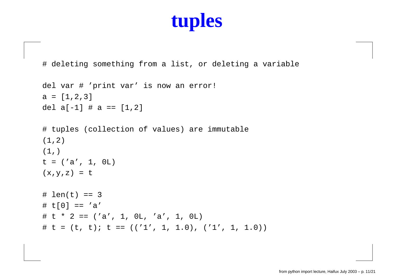### **tuples**

# deleting something from <sup>a</sup> list, or deleting <sup>a</sup> variable

```
del var # 'print var' is now an error!
a = [1,2,3]
del a[-1] # a == [1,2]
```

```
# tuples (collection of values) are immutable
(1,2)
(1, )t = ('a', 1, 0L)
(x,y,z) = t
```

```
# len(t) == 3\# t[0] == 'a'
# t * 2 == ('a', 1, 0L, 'a', 1, 0L)
# t = (t, t); t == ((1', 1, 1, 0), (1', 1, 1, 0))
```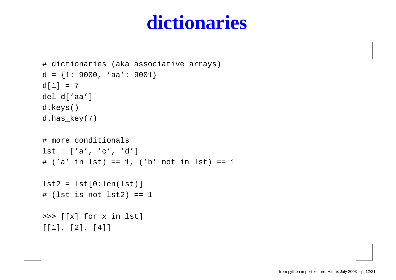### **dictionaries**

```
# dictionaries (aka associative arrays)
d = {1: 9000, 'aa': 9001}
d[1] = 7del d['aa']
d.keys()
d.has key(7)# more conditionals
lst = ['a', 'c', 'd']
# ('a' in lst) == 1, ('b' not in lst) == 1
lst2 = lst[0:len(lst)]
# (lst is not lst2) == 1
>>> [[x] for x in lst]
[1], [2], [4]
```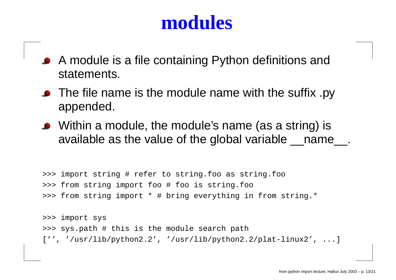#### **modules**

- A module is <sup>a</sup> file containing Python definitions and statements.
- The file name is the module name with the suffix .py appended.
- Within <sup>a</sup> module, the module's name (as <sup>a</sup> string) is available as the value of the global variable \_\_name\_\_.

>>> import string # refer to string.foo as string.foo >>> from string import foo # foo is string.foo >>> from string import \* # bring everything in from string.\*

>>> import sys >>> sys.path # this is the module search path ['', '/usr/lib/python2.2', '/usr/lib/python2.2/plat-linux2', ...]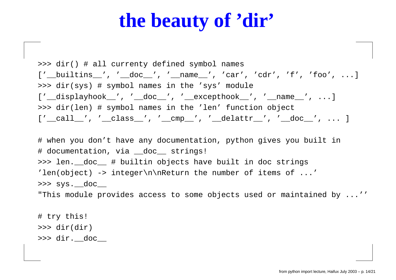### **the beauty of 'dir'**

>>> dir() # all currenty defined symbol names ['\_\_builtins\_\_', '\_\_doc\_\_', '\_\_name\_\_', 'car', 'cdr', 'f', 'foo', ...] >>> dir(sys) # symbol names in the 'sys' module ['\_\_displayhook\_\_', '\_\_doc\_\_', '\_\_excepthook\_\_', '\_\_name\_\_', ...] >>> dir(len) # symbol names in the 'len' function object  $[$ ' call ', ' class ', ' cmp ', ' delattr ', ' doc ', ... ]

# when you don't have any documentation, python gives you built in # documentation, via \_\_doc\_\_ strings! >>> len.\_\_doc\_\_ # builtin objects have built in doc strings 'len(object) -> integer\n\nReturn the number of items of  $\dots'$ >>> sys.\_\_doc\_\_

"This module provides access to some objects used or maintained by ...''

# try this! >>> dir(dir) >>> dir.\_\_doc\_\_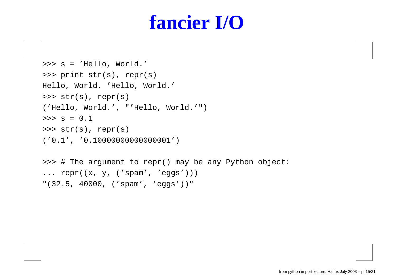### **fancier I/O**

```
>>> s = 'Hello, World.'
>>> print str(s), repr(s)
Hello, World. 'Hello, World.'
>>> str(s), repr(s)
('Hello, World.', "'Hello, World.'")
>>> s = 0.1
>>> str(s), repr(s)
('0.1', '0.10000000000000001')
>>> # The argument to repr() may be any Python object:
... repr((x, y, ('spam', 'eggs')))
```

```
"(32.5, 40000, ('spam', 'eggs'))"
```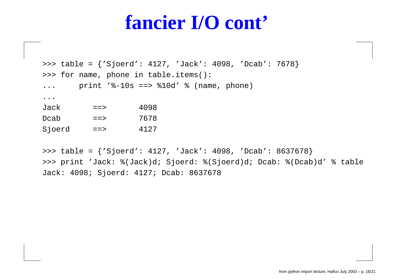#### **fancier I/O cont'**

```
>>> table = {'Sjoerd': 4127, 'Jack': 4098, 'Dcab': 7678}
>>> for name, phone in table.items():
... print '%-10s ==> %10d' % (name, phone)
...Jack== 4098
Dcab==> 7678
Sjoerd ==> 4127
```
>>> table <sup>=</sup> {'Sjoerd': 4127, 'Jack': 4098, 'Dcab': 8637678} >>> print 'Jack: %(Jack)d; Sjoerd: %(Sjoerd)d; Dcab: %(Dcab)d' % table Jack: 4098; Sjoerd: 4127; Dcab: 8637678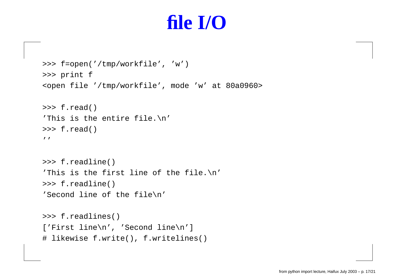### **file I/O**

```
>>> f=open('/tmp/workfile', 'w')
>>> print f
<open file '/tmp/workfile', mode 'w' at 80a0960>
>>> f.read()
'This is the entire file.\n'
>>> f.read()
\prime>>> f.readline()
'This is the first line of the file.\n'
>>> f.readline()
'Second line of the file\n'
>>> f.readlines()
['First line\n', 'Second line\n']
# likewise f.write(), f.writelines()
```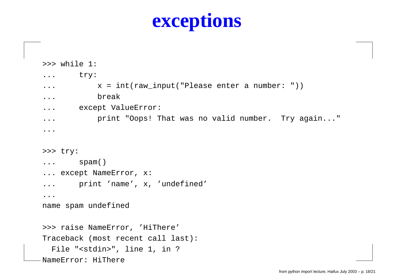## **exceptions**

```
>>> while 1:
... try:
...x = int(raw\_input("Please enter a number: "))... break
... except ValueError:
... print "Oops! That was no valid number. Try again..."
...>>> try:
... spam()
... except NameError, x:
... print 'name', x, 'undefined'
...
name spam undefined
>>> raise NameError, 'HiThere'
Traceback (most recent call last):
  File "<stdin>", line 1, in ?
NameError: HiThere
```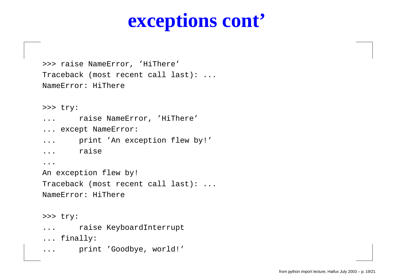### **exceptions cont'**

>>> raise NameError, 'HiThere' Traceback (most recent call last): ... NameError: HiThere

```
>>> try:
```
- ...raise NameError, 'HiThere'
- ... except NameError:
- ...print 'An exception flew by!'
- ...raise

...

An exception flew by!

Traceback (most recent call last): ...

NameError: HiThere

>>> try:

- ...raise KeyboardInterrupt
- ... finally:
- ...print 'Goodbye, world!'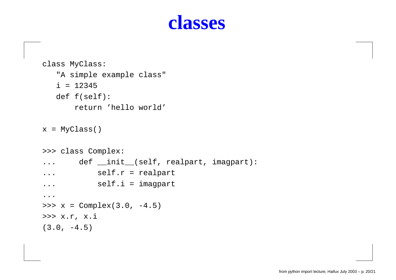#### **classes**

```
class MyClass:
   "A simple example class"
   i = 12345
   def f(self):
       return 'hello world'
x = MyClass()
>>> class Complex:
.... def __init__(self, realpart, imagpart):
... self.r = realpart
... self.i = imagpart
...
>>> x = Complex(3.0, -4.5)
>>> x.r, x.i
(3.0, -4.5)
```